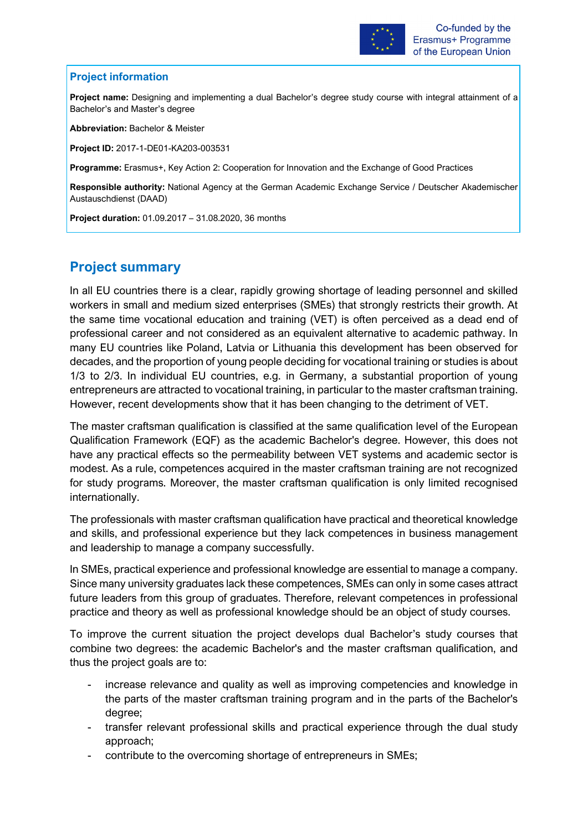

## **Project information**

**Project name:** Designing and implementing a dual Bachelor's degree study course with integral attainment of a Bachelor's and Master's degree

**Abbreviation:** Bachelor & Meister

**Project ID:** 2017-1-DE01-KA203-003531

**Programme:** Erasmus+, Key Action 2: Cooperation for Innovation and the Exchange of Good Practices

**Responsible authority:** National Agency at the German Academic Exchange Service / Deutscher Akademischer Austauschdienst (DAAD)

**Project duration:** 01.09.2017 – 31.08.2020, 36 months

## **Project summary**

In all EU countries there is a clear, rapidly growing shortage of leading personnel and skilled workers in small and medium sized enterprises (SMEs) that strongly restricts their growth. At the same time vocational education and training (VET) is often perceived as a dead end of professional career and not considered as an equivalent alternative to academic pathway. In many EU countries like Poland, Latvia or Lithuania this development has been observed for decades, and the proportion of young people deciding for vocational training or studies is about 1/3 to 2/3. In individual EU countries, e.g. in Germany, a substantial proportion of young entrepreneurs are attracted to vocational training, in particular to the master craftsman training. However, recent developments show that it has been changing to the detriment of VET.

The master craftsman qualification is classified at the same qualification level of the European Qualification Framework (EQF) as the academic Bachelor's degree. However, this does not have any practical effects so the permeability between VET systems and academic sector is modest. As a rule, competences acquired in the master craftsman training are not recognized for study programs. Moreover, the master craftsman qualification is only limited recognised internationally.

The professionals with master craftsman qualification have practical and theoretical knowledge and skills, and professional experience but they lack competences in business management and leadership to manage a company successfully.

In SMEs, practical experience and professional knowledge are essential to manage a company. Since many university graduates lack these competences, SMEs can only in some cases attract future leaders from this group of graduates. Therefore, relevant competences in professional practice and theory as well as professional knowledge should be an object of study courses.

To improve the current situation the project develops dual Bachelor's study courses that combine two degrees: the academic Bachelor's and the master craftsman qualification, and thus the project goals are to:

- increase relevance and quality as well as improving competencies and knowledge in the parts of the master craftsman training program and in the parts of the Bachelor's degree;
- transfer relevant professional skills and practical experience through the dual study approach;
- contribute to the overcoming shortage of entrepreneurs in SMEs;